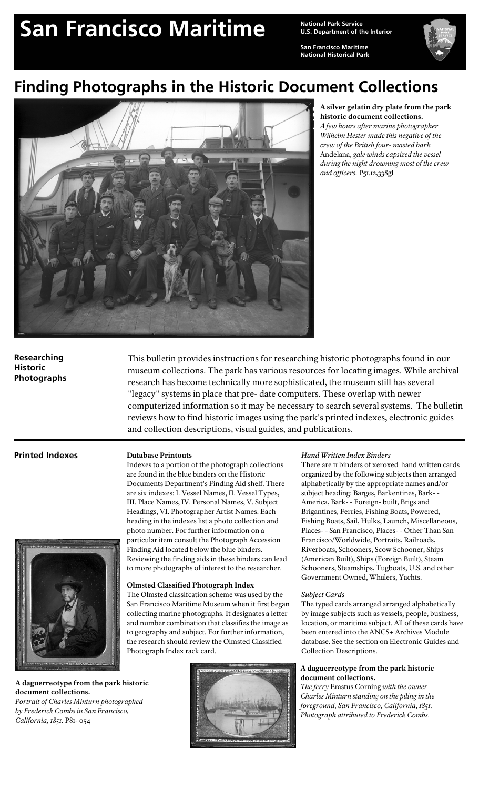# San Francisco Maritime<br> **San Francisco Maritime Maritiment** of the

**U.S. Department of the Interior**

**San Francisco Maritime National Historical Park** 



# **Finding Photographs in the Historic Document Collections**



**A silver gelatin dry plate from the park historic document collections.** 

*A few hours after marine photographer Wilhelm Hester made this negative of the crew of the British four- masted bark* Andelana, *gale winds capsized the vessel during the night drowning most of the crew and officers.* P51.12,338gl

# **Researching Historic Photographs**

This bulletin provides instructions for researching historic photographs found in our museum collections. The park has various resources for locating images. While archival research has become technically more sophisticated, the museum still has several "legacy" systems in place that pre- date computers. These overlap with newer computerized information so it may be necessary to search several systems. The bulletin reviews how to find historic images using the park's printed indexes, electronic guides and collection descriptions, visual guides, and publications.

# **Printed Indexes Database Printouts**



**A daguerreotype from the park historic document collections.** 

*Portrait of Charles Minturn photographed by Frederick Combs in San Francisco, California, 1851.* P81- 054



Indexes to a portion of the photograph collections are found in the blue binders on the Historic Documents Department's Finding Aid shelf. There are six indexes: I. Vessel Names, II. Vessel Types, III. Place Names, IV. Personal Names, V. Subject Headings, VI. Photographer Artist Names. Each heading in the indexes list a photo collection and photo number. For further information on a particular item consult the Photograph Accession Finding Aid located below the blue binders.

Reviewing the finding aids in these binders can lead to more photographs of interest to the researcher.

The Olmsted classifcation scheme was used by the San Francisco Maritime Museum when it first began collecting marine photographs. It designates a letter and number combination that classifies the image as to geography and subject. For further information, the research should review the Olmsted Classified

**Olmsted Classified Photograph Index**

## *Hand Written Index Binders*

There are II binders of xeroxed hand written cards organized by the following subjects then arranged alphabetically by the appropriate names and/or subject heading: Barges, Barkentines, Bark- - America, Bark--Foreign- built, Brigs and Brigantines, Ferries, Fishing Boats, Powered, Fishing Boats, Sail, Hulks, Launch, Miscellaneous, Places- - San Francisco, Places- - Other Than San Francisco/Worldwide, Portraits, Railroads, Riverboats, Schooners, Scow Schooner, Ships (American Built), Ships (Foreign Built), Steam Schooners, Steamships, Tugboats, U.S. and other Government Owned, Whalers, Yachts.

#### *Subject Cards*

The typed cards arranged arranged alphabetically by image subjects such as vessels, people, business, location, or maritime subject. All of these cards have been entered into the ANCS+ Archives Module database. See the section on Electronic Guides and Collection Descriptions.

### **A daguerreotype from the park historic document collections.**

*The ferry* Erastus Corning *with the owner Charles Minturn standing on the piling in the foreground, San Francisco, California, 1851. Photograph attributed to Frederick Combs.*